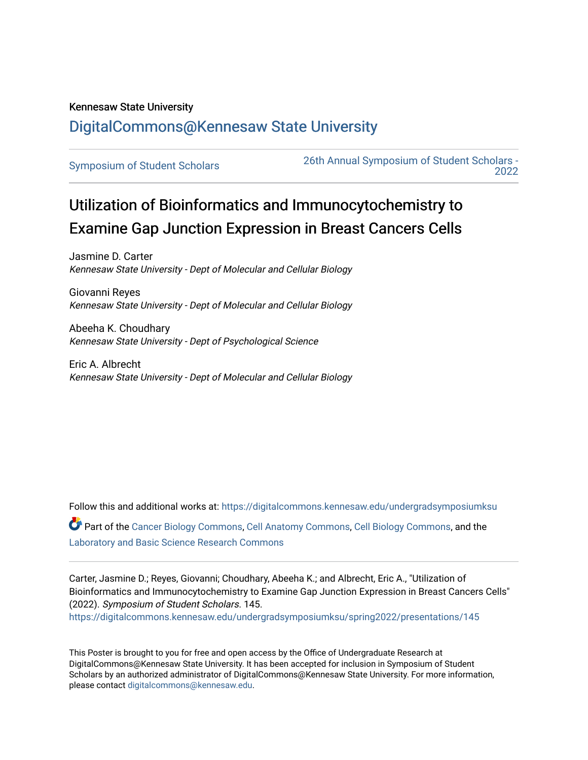## Kennesaw State University [DigitalCommons@Kennesaw State University](https://digitalcommons.kennesaw.edu/)

[Symposium of Student Scholars](https://digitalcommons.kennesaw.edu/undergradsymposiumksu) [26th Annual Symposium of Student Scholars -](https://digitalcommons.kennesaw.edu/undergradsymposiumksu/spring2022)  [2022](https://digitalcommons.kennesaw.edu/undergradsymposiumksu/spring2022) 

## Utilization of Bioinformatics and Immunocytochemistry to Examine Gap Junction Expression in Breast Cancers Cells

Jasmine D. Carter Kennesaw State University - Dept of Molecular and Cellular Biology

Giovanni Reyes Kennesaw State University - Dept of Molecular and Cellular Biology

Abeeha K. Choudhary Kennesaw State University - Dept of Psychological Science

Eric A. Albrecht Kennesaw State University - Dept of Molecular and Cellular Biology

Follow this and additional works at: [https://digitalcommons.kennesaw.edu/undergradsymposiumksu](https://digitalcommons.kennesaw.edu/undergradsymposiumksu?utm_source=digitalcommons.kennesaw.edu%2Fundergradsymposiumksu%2Fspring2022%2Fpresentations%2F145&utm_medium=PDF&utm_campaign=PDFCoverPages)  Part of the [Cancer Biology Commons,](http://network.bepress.com/hgg/discipline/12?utm_source=digitalcommons.kennesaw.edu%2Fundergradsymposiumksu%2Fspring2022%2Fpresentations%2F145&utm_medium=PDF&utm_campaign=PDFCoverPages) [Cell Anatomy Commons,](http://network.bepress.com/hgg/discipline/9?utm_source=digitalcommons.kennesaw.edu%2Fundergradsymposiumksu%2Fspring2022%2Fpresentations%2F145&utm_medium=PDF&utm_campaign=PDFCoverPages) [Cell Biology Commons,](http://network.bepress.com/hgg/discipline/10?utm_source=digitalcommons.kennesaw.edu%2Fundergradsymposiumksu%2Fspring2022%2Fpresentations%2F145&utm_medium=PDF&utm_campaign=PDFCoverPages) and the [Laboratory and Basic Science Research Commons](http://network.bepress.com/hgg/discipline/812?utm_source=digitalcommons.kennesaw.edu%2Fundergradsymposiumksu%2Fspring2022%2Fpresentations%2F145&utm_medium=PDF&utm_campaign=PDFCoverPages) 

Carter, Jasmine D.; Reyes, Giovanni; Choudhary, Abeeha K.; and Albrecht, Eric A., "Utilization of Bioinformatics and Immunocytochemistry to Examine Gap Junction Expression in Breast Cancers Cells" (2022). Symposium of Student Scholars. 145. [https://digitalcommons.kennesaw.edu/undergradsymposiumksu/spring2022/presentations/145](https://digitalcommons.kennesaw.edu/undergradsymposiumksu/spring2022/presentations/145?utm_source=digitalcommons.kennesaw.edu%2Fundergradsymposiumksu%2Fspring2022%2Fpresentations%2F145&utm_medium=PDF&utm_campaign=PDFCoverPages)

This Poster is brought to you for free and open access by the Office of Undergraduate Research at DigitalCommons@Kennesaw State University. It has been accepted for inclusion in Symposium of Student Scholars by an authorized administrator of DigitalCommons@Kennesaw State University. For more information, please contact [digitalcommons@kennesaw.edu.](mailto:digitalcommons@kennesaw.edu)